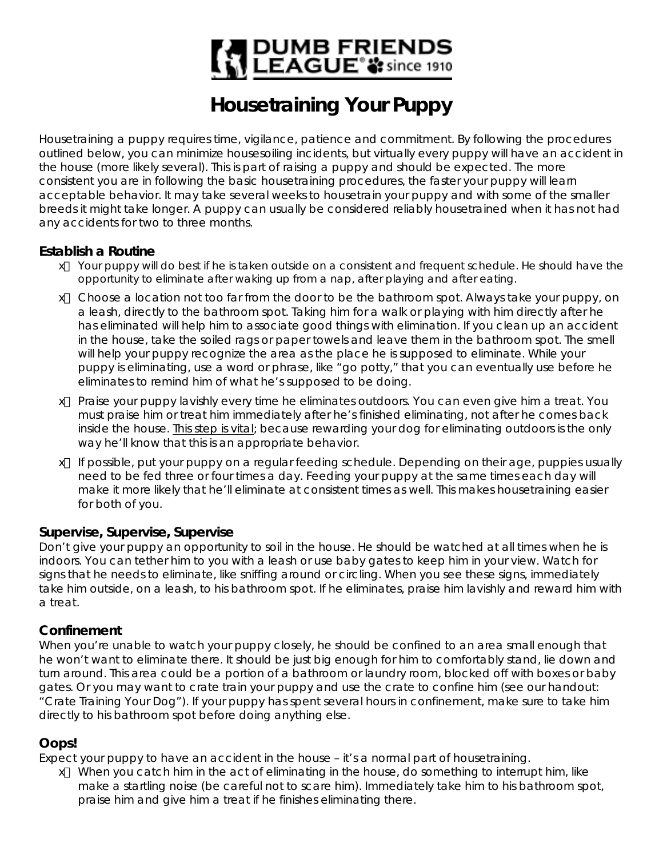# | DUMB FRIENDS<br>| LEAGUE® 3: since 1910

# **Housetraining Your Puppy**

Housetraining a puppy requires time, vigilance, patience and commitment. By following the procedures outlined below, you can minimize housesoiling incidents, but virtually every puppy will have an accident in the house (more likely several). This is part of raising a puppy and should be expected. The more consistent you are in following the basic housetraining procedures, the faster your puppy will learn acceptable behavior. It may take several weeks to housetrain your puppy and with some of the smaller breeds it might take longer. A puppy can usually be considered reliably housetrained when it has not had any accidents for two to three months.

#### **Establish a Routine**

- $#$  Your puppy will do best if he is taken outside on a consistent and frequent schedule. He should have the opportunity to eliminate after waking up from a nap, after playing and after eating.
- et Choose a location not too far from the door to be the bathroom spot. Always take your puppy, on a leash, directly to the bathroom spot. Taking him for a walk or playing with him directly after he has eliminated will help him to associate good things with elimination. If you clean up an accident in the house, take the soiled rags or paper towels and leave them in the bathroom spot. The smell will help your puppy recognize the area as the place he is supposed to eliminate. While your puppy is eliminating, use a word or phrase, like "go potty," that you can eventually use before he eliminates to remind him of what he's supposed to be doing.
- $#$  Praise your puppy lavishly every time he eliminates outdoors. You can even give him a treat. You must praise him or treat him immediately after he's finished eliminating, not after he comes back inside the house. This step is vital; because rewarding your dog for eliminating outdoors is the only way he'll know that this is an appropriate behavior.
- $#$  If possible, put your puppy on a regular feeding schedule. Depending on their age, puppies usually need to be fed three or four times a day. Feeding your puppy at the same times each day will make it more likely that he'll eliminate at consistent times as well. This makes housetraining easier for both of you.

#### **Supervise, Supervise, Supervise**

Don't give your puppy an opportunity to soil in the house. He should be watched at all times when he is indoors. You can tether him to you with a leash or use baby gates to keep him in your view. Watch for signs that he needs to eliminate, like sniffing around or circling. When you see these signs, immediately take him outside, on a leash, to his bathroom spot. If he eliminates, praise him lavishly and reward him with a treat.

#### **Confinement**

When you're unable to watch your puppy closely, he should be confined to an area small enough that he won't want to eliminate there. It should be just big enough for him to comfortably stand, lie down and turn around. This area could be a portion of a bathroom or laundry room, blocked off with boxes or baby gates. Or you may want to crate train your puppy and use the crate to confine him (see our handout: "Crate Training Your Dog"). If your puppy has spent several hours in confinement, make sure to take him directly to his bathroom spot before doing anything else.

## **Oops!**

Expect your puppy to have an accident in the house – it's a normal part of housetraining.

 $#$  When you catch him in the act of eliminating in the house, do something to interrupt him, like make a startling noise (be careful not to scare him). Immediately take him to his bathroom spot, praise him and give him a treat if he finishes eliminating there.